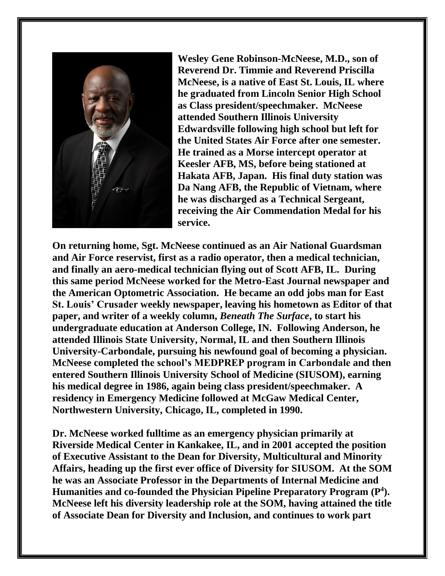

**Wesley Gene Robinson-McNeese, M.D., son of Reverend Dr. Timmie and Reverend Priscilla McNeese, is a native of East St. Louis, IL where he graduated from Lincoln Senior High School as Class president/speechmaker. McNeese attended Southern Illinois University Edwardsville following high school but left for the United States Air Force after one semester. He trained as a Morse intercept operator at Keesler AFB, MS, before being stationed at Hakata AFB, Japan. His final duty station was Da Nang AFB, the Republic of Vietnam, where he was discharged as a Technical Sergeant, receiving the Air Commendation Medal for his service.** 

**On returning home, Sgt. McNeese continued as an Air National Guardsman and Air Force reservist, first as a radio operator, then a medical technician, and finally an aero-medical technician flying out of Scott AFB, IL. During this same period McNeese worked for the Metro-East Journal newspaper and the American Optometric Association. He became an odd jobs man for East St. Louis' Crusader weekly newspaper, leaving his hometown as Editor of that paper, and writer of a weekly column,** *Beneath The Surface***, to start his undergraduate education at Anderson College, IN. Following Anderson, he attended Illinois State University, Normal, IL and then Southern Illinois University-Carbondale, pursuing his newfound goal of becoming a physician. McNeese completed the school's MEDPREP program in Carbondale and then entered Southern Illinois University School of Medicine (SIUSOM), earning his medical degree in 1986, again being class president/speechmaker. A residency in Emergency Medicine followed at McGaw Medical Center, Northwestern University, Chicago, IL, completed in 1990.** 

**Dr. McNeese worked fulltime as an emergency physician primarily at Riverside Medical Center in Kankakee, IL, and in 2001 accepted the position of Executive Assistant to the Dean for Diversity, Multicultural and Minority Affairs, heading up the first ever office of Diversity for SIUSOM. At the SOM he was an Associate Professor in the Departments of Internal Medicine and Humanities and co-founded the Physician Pipeline Preparatory Program (P 4 ). McNeese left his diversity leadership role at the SOM, having attained the title of Associate Dean for Diversity and Inclusion, and continues to work part**